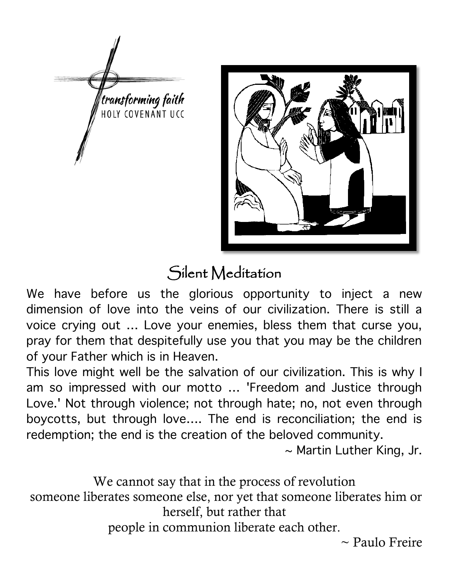



# Silent Meditation

We have before us the glorious opportunity to inject a new dimension of love into the veins of our civilization. There is still a voice crying out … Love your enemies, bless them that curse you, pray for them that despitefully use you that you may be the children of your Father which is in Heaven.

This love might well be the salvation of our civilization. This is why I am so impressed with our motto … 'Freedom and Justice through Love.' Not through violence; not through hate; no, not even through boycotts, but through love…. The end is reconciliation; the end is redemption; the end is the creation of the beloved community.

 $\sim$  Martin Luther King, Jr.

We cannot say that in the process of revolution someone liberates someone else, nor yet that someone liberates him or herself, but rather that people in communion liberate each other.

 $\sim$  Paulo Freire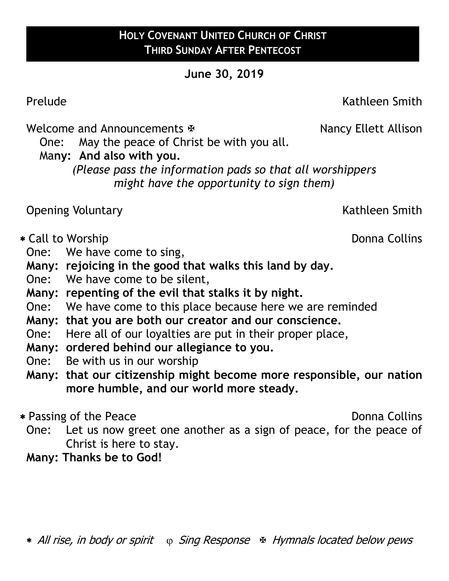### **HOLY COVENANT UNITED CHURCH OF CHRIST THIRD SUNDAY AFTER PENTECOST**

**June 30, 2019**

Prelude Kathleen Smith

Welcome and Announcements  $\mathfrak{B}$  Nancy Ellett Allison

One: May the peace of Christ be with you all.

# Ma**ny: And also with you.**

*(Please pass the information pads so that all worshippers might have the opportunity to sign them)*

Opening Voluntary **Contains and Contains and Contains and Contains and Contains and Contains and Contains and Contains and Contains and Contains and Contains and Contains and Contains and Contains and Contains and Contains** 

Call to Worship Donna Collins

- One: We have come to sing,
- **Many: rejoicing in the good that walks this land by day.**
- One: We have come to be silent,
- **Many: repenting of the evil that stalks it by night.**
- One: We have come to this place because here we are reminded
- **Many: that you are both our creator and our conscience.**
- One: Here all of our loyalties are put in their proper place,
- **Many: ordered behind our allegiance to you.**
- One: Be with us in our worship
- **Many: that our citizenship might become more responsible, our nation more humble, and our world more steady.**

\* Passing of the Peace **Donna Collins** 

One: Let us now greet one another as a sign of peace, for the peace of Christ is here to stay.

**Many: Thanks be to God!**

\* All rise, in body or spirit (p) Sing Response & Hymnals located below pews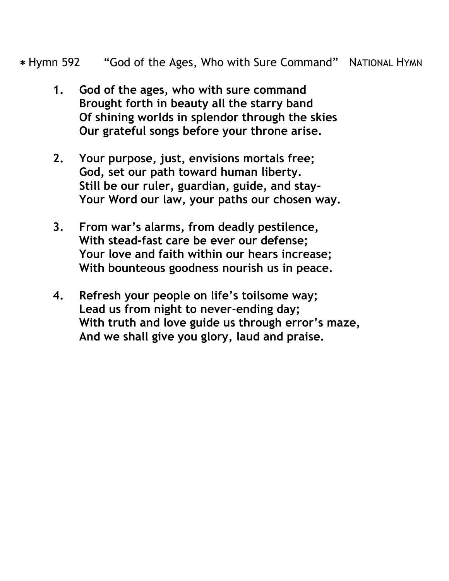# Hymn 592 "God of the Ages, Who with Sure Command" NATIONAL HYMN

- **1. God of the ages, who with sure command Brought forth in beauty all the starry band Of shining worlds in splendor through the skies Our grateful songs before your throne arise.**
- **2. Your purpose, just, envisions mortals free; God, set our path toward human liberty. Still be our ruler, guardian, guide, and stay-Your Word our law, your paths our chosen way.**
- **3. From war's alarms, from deadly pestilence, With stead-fast care be ever our defense; Your love and faith within our hears increase; With bounteous goodness nourish us in peace.**
- **4. Refresh your people on life's toilsome way; Lead us from night to never-ending day; With truth and love guide us through error's maze, And we shall give you glory, laud and praise.**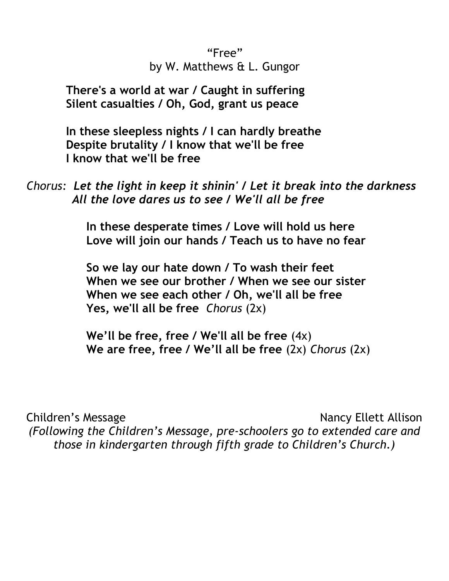# "Free" by W. Matthews & L. Gungor

**There's a world at war / Caught in suffering Silent casualties / Oh, God, grant us peace**

**In these sleepless nights / I can hardly breathe Despite brutality / I know that we'll be free I know that we'll be free**

*Chorus: Let the light in keep it shinin' / Let it break into the darkness All the love dares us to see / We'll all be free*

> **In these desperate times / Love will hold us here Love will join our hands / Teach us to have no fear**

> **So we lay our hate down / To wash their feet When we see our brother / When we see our sister When we see each other / Oh, we'll all be free Yes, we'll all be free** *Chorus* (2x)

> **We'll be free, free / We'll all be free** (4x)  **We are free, free / We'll all be free** (2x) *Chorus* (2x)

Children's Message Nancy Ellett Allison *(Following the Children's Message, pre-schoolers go to extended care and those in kindergarten through fifth grade to Children's Church.)*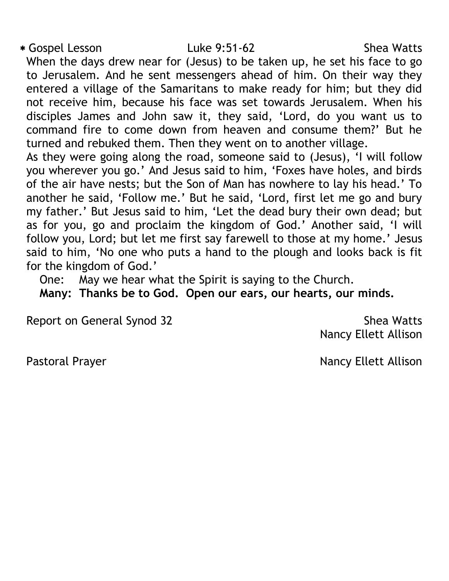#### Gospel Lesson Luke 9:51-62 Shea Watts

When the days drew near for (Jesus) to be taken up, he set his face to go to Jerusalem. And he sent messengers ahead of him. On their way they entered a village of the Samaritans to make ready for him; but they did not receive him, because his face was set towards Jerusalem. When his disciples James and John saw it, they said, 'Lord, do you want us to command fire to come down from heaven and consume them?' But he turned and rebuked them. Then they went on to another village.

As they were going along the road, someone said to (Jesus), 'I will follow you wherever you go.' And Jesus said to him, 'Foxes have holes, and birds of the air have nests; but the Son of Man has nowhere to lay his head.' To another he said, 'Follow me.' But he said, 'Lord, first let me go and bury my father.' But Jesus said to him, 'Let the dead bury their own dead; but as for you, go and proclaim the kingdom of God.' Another said, 'I will follow you, Lord; but let me first say farewell to those at my home.' Jesus said to him, 'No one who puts a hand to the plough and looks back is fit for the kingdom of God.'

One: May we hear what the Spirit is saying to the Church.

**Many: Thanks be to God. Open our ears, our hearts, our minds.**

Report on General Synod 32 Shea Watts

Nancy Ellett Allison

Pastoral Prayer Nancy Ellett Allison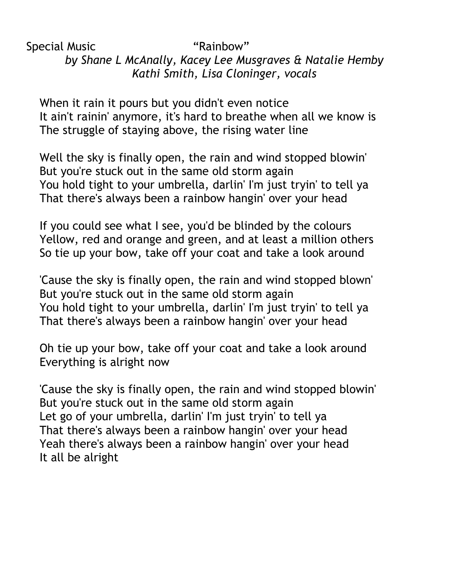Special Music "Annument" "Rainbow"

*by Shane L McAnally, Kacey Lee Musgraves & Natalie Hemby Kathi Smith, Lisa Cloninger, vocals*

When it rain it pours but you didn't even notice It ain't rainin' anymore, it's hard to breathe when all we know is The struggle of staying above, the rising water line

Well the sky is finally open, the rain and wind stopped blowin' But you're stuck out in the same old storm again You hold tight to your umbrella, darlin' I'm just tryin' to tell ya That there's always been a rainbow hangin' over your head

If you could see what I see, you'd be blinded by the colours Yellow, red and orange and green, and at least a million others So tie up your bow, take off your coat and take a look around

'Cause the sky is finally open, the rain and wind stopped blown' But you're stuck out in the same old storm again You hold tight to your umbrella, darlin' I'm just tryin' to tell ya That there's always been a rainbow hangin' over your head

Oh tie up your bow, take off your coat and take a look around Everything is alright now

'Cause the sky is finally open, the rain and wind stopped blowin' But you're stuck out in the same old storm again Let go of your umbrella, darlin' I'm just tryin' to tell ya That there's always been a rainbow hangin' over your head Yeah there's always been a rainbow hangin' over your head It all be alright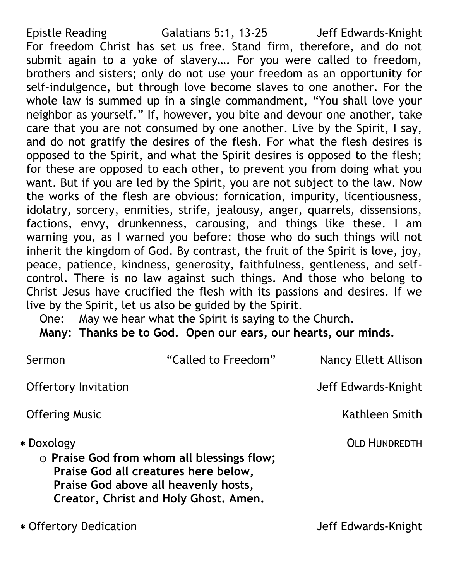Epistle Reading Galatians 5:1, 13-25 Jeff Edwards-Knight For freedom Christ has set us free. Stand firm, therefore, and do not submit again to a yoke of slavery…. For you were called to freedom, brothers and sisters; only do not use your freedom as an opportunity for self-indulgence, but through love become slaves to one another. For the whole law is summed up in a single commandment, "You shall love your neighbor as yourself." If, however, you bite and devour one another, take care that you are not consumed by one another. Live by the Spirit, I say, and do not gratify the desires of the flesh. For what the flesh desires is opposed to the Spirit, and what the Spirit desires is opposed to the flesh; for these are opposed to each other, to prevent you from doing what you want. But if you are led by the Spirit, you are not subject to the law. Now the works of the flesh are obvious: fornication, impurity, licentiousness, idolatry, sorcery, enmities, strife, jealousy, anger, quarrels, dissensions, factions, envy, drunkenness, carousing, and things like these. I am warning you, as I warned you before: those who do such things will not inherit the kingdom of God. By contrast, the fruit of the Spirit is love, joy, peace, patience, kindness, generosity, faithfulness, gentleness, and selfcontrol. There is no law against such things. And those who belong to Christ Jesus have crucified the flesh with its passions and desires. If we live by the Spirit, let us also be guided by the Spirit.

One: May we hear what the Spirit is saying to the Church.

**Many: Thanks be to God. Open our ears, our hearts, our minds.**

| Sermon                      | "Called to Freedom"                                                                                                                                                         | <b>Nancy Ellett Allison</b> |
|-----------------------------|-----------------------------------------------------------------------------------------------------------------------------------------------------------------------------|-----------------------------|
| <b>Offertory Invitation</b> |                                                                                                                                                                             | Jeff Edwards-Knight         |
| <b>Offering Music</b>       |                                                                                                                                                                             | Kathleen Smith              |
| * Doxology                  | $\varphi$ Praise God from whom all blessings flow;<br>Praise God all creatures here below,<br>Praise God above all heavenly hosts,<br>Creator, Christ and Holy Ghost. Amen. | <b>OLD HUNDREDTH</b>        |
| * Offertory Dedication      |                                                                                                                                                                             | Jeff Edwards-Knight         |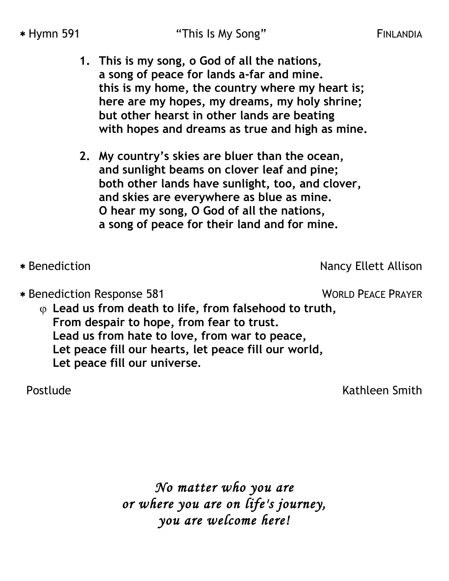- **1. This is my song, o God of all the nations, a song of peace for lands a-far and mine. this is my home, the country where my heart is; here are my hopes, my dreams, my holy shrine; but other hearst in other lands are beating with hopes and dreams as true and high as mine.**
- **2. My country's skies are bluer than the ocean, and sunlight beams on clover leaf and pine; both other lands have sunlight, too, and clover, and skies are everywhere as blue as mine. O hear my song, O God of all the nations, a song of peace for their land and for mine.**

Benediction Response 581 WORLD PEACE PRAYER

\* Benediction Nancy Ellett Allison

 **Lead us from death to life, from falsehood to truth, From despair to hope, from fear to trust. Lead us from hate to love, from war to peace, Let peace fill our hearts, let peace fill our world, Let peace fill our universe.**

Postlude **Kathleen Smith** 

*No matter who you are or where you are on life's journey, you are welcome here!*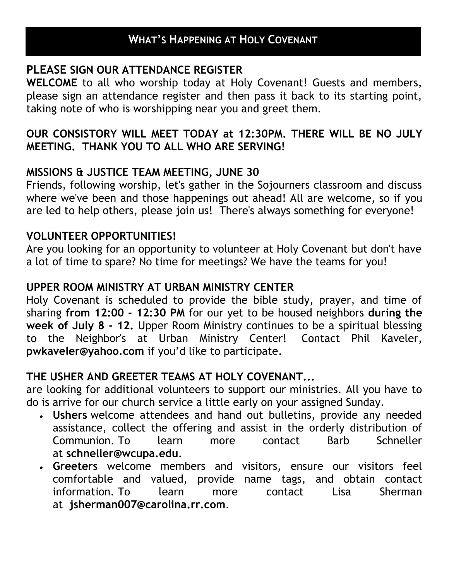#### **PLEASE SIGN OUR ATTENDANCE REGISTER**

**WELCOME** to all who worship today at Holy Covenant! Guests and members, please sign an attendance register and then pass it back to its starting point, taking note of who is worshipping near you and greet them.

#### **OUR CONSISTORY WILL MEET TODAY at 12:30PM. THERE WILL BE NO JULY MEETING. THANK YOU TO ALL WHO ARE SERVING!**

#### **MISSIONS & JUSTICE TEAM MEETING, JUNE 30**

Friends, following worship, let's gather in the Sojourners classroom and discuss where we've been and those happenings out ahead! All are welcome, so if you are led to help others, please join us! There's always something for everyone!

#### **VOLUNTEER OPPORTUNITIES!**

Are you looking for an opportunity to volunteer at Holy Covenant but don't have a lot of time to spare? No time for meetings? We have the teams for you!

#### **UPPER ROOM MINISTRY AT URBAN MINISTRY CENTER**

Holy Covenant is scheduled to provide the bible study, prayer, and time of sharing **from 12:00 - 12:30 PM** for our yet to be housed neighbors **during the week of July 8 - 12.** Upper Room Ministry continues to be a spiritual blessing to the Neighbor's at Urban Ministry Center! Contact Phil Kaveler, **pwkaveler@yahoo.com** if you'd like to participate.

#### **THE USHER AND GREETER TEAMS AT HOLY COVENANT...**

are looking for additional volunteers to support our ministries. All you have to do is arrive for our church service a little early on your assigned Sunday.

- **Ushers** welcome attendees and hand out bulletins, provide any needed assistance, collect the offering and assist in the orderly distribution of Communion. To learn more contact Barb Schneller at **schneller@wcupa.edu**.
- **Greeters** welcome members and visitors, ensure our visitors feel comfortable and valued, provide name tags, and obtain contact information. To learn more contact Lisa Sherman at **jsherman007@carolina.rr.com**.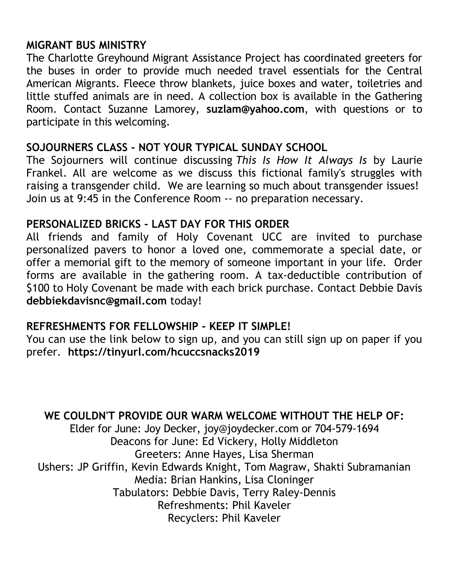#### **MIGRANT BUS MINISTRY**

The Charlotte Greyhound Migrant Assistance Project has coordinated greeters for the buses in order to provide much needed travel essentials for the Central American Migrants. Fleece throw blankets, juice boxes and water, toiletries and little stuffed animals are in need. A collection box is available in the Gathering Room. Contact Suzanne Lamorey, **suzlam@yahoo.com**, with questions or to participate in this welcoming.

#### **SOJOURNERS CLASS - NOT YOUR TYPICAL SUNDAY SCHOOL**

The Sojourners will continue discussing *This Is How It Always Is* by Laurie Frankel. All are welcome as we discuss this fictional family's struggles with raising a transgender child. We are learning so much about transgender issues! Join us at 9:45 in the Conference Room -- no preparation necessary.

#### **PERSONALIZED BRICKS - LAST DAY FOR THIS ORDER**

All friends and family of Holy Covenant UCC are invited to purchase personalized pavers to honor a loved one, commemorate a special date, or offer a memorial gift to the memory of someone important in your life. Order forms are available in the gathering room. A tax-deductible contribution of \$100 to Holy Covenant be made with each brick purchase. Contact Debbie Davis **debbiekdavisnc@gmail.com** today!

#### **REFRESHMENTS FOR FELLOWSHIP - KEEP IT SIMPLE!**

You can use the link below to sign up, and you can still sign up on paper if you prefer. **https://tinyurl.com/hcuccsnacks2019**

#### **WE COULDN'T PROVIDE OUR WARM WELCOME WITHOUT THE HELP OF:**

Elder for June: Joy Decker, joy@joydecker.com or 704-579-1694 Deacons for June: Ed Vickery, Holly Middleton Greeters: Anne Hayes, Lisa Sherman Ushers: JP Griffin, Kevin Edwards Knight, Tom Magraw, Shakti Subramanian Media: Brian Hankins, Lisa Cloninger Tabulators: Debbie Davis, Terry Raley-Dennis Refreshments: Phil Kaveler Recyclers: Phil Kaveler